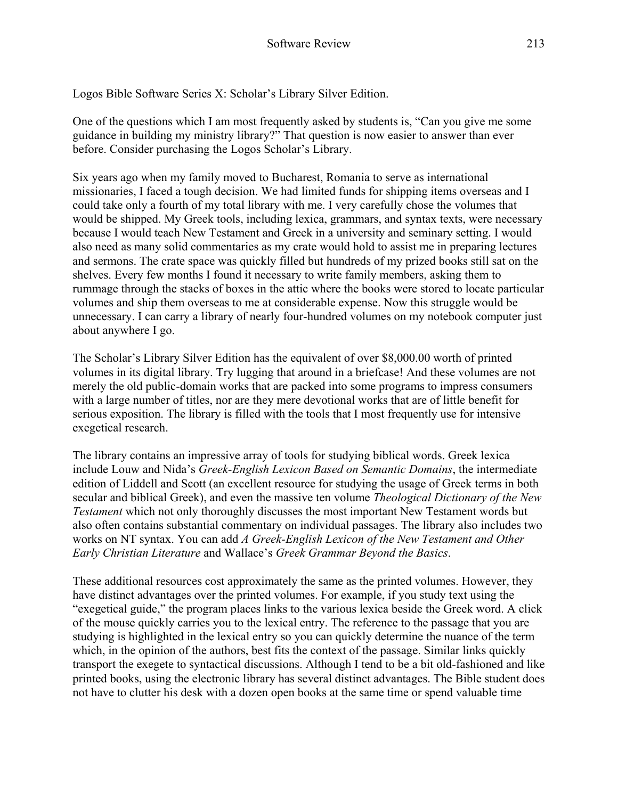Logos Bible Software Series X: Scholar's Library Silver Edition.

One of the questions which I am most frequently asked by students is, "Can you give me some guidance in building my ministry library?" That question is now easier to answer than ever before. Consider purchasing the Logos Scholar's Library.

Six years ago when my family moved to Bucharest, Romania to serve as international missionaries, I faced a tough decision. We had limited funds for shipping items overseas and I could take only a fourth of my total library with me. I very carefully chose the volumes that would be shipped. My Greek tools, including lexica, grammars, and syntax texts, were necessary because I would teach New Testament and Greek in a university and seminary setting. I would also need as many solid commentaries as my crate would hold to assist me in preparing lectures and sermons. The crate space was quickly filled but hundreds of my prized books still sat on the shelves. Every few months I found it necessary to write family members, asking them to rummage through the stacks of boxes in the attic where the books were stored to locate particular volumes and ship them overseas to me at considerable expense. Now this struggle would be unnecessary. I can carry a library of nearly four-hundred volumes on my notebook computer just about anywhere I go.

The Scholar's Library Silver Edition has the equivalent of over \$8,000.00 worth of printed volumes in its digital library. Try lugging that around in a briefcase! And these volumes are not merely the old public-domain works that are packed into some programs to impress consumers with a large number of titles, nor are they mere devotional works that are of little benefit for serious exposition. The library is filled with the tools that I most frequently use for intensive exegetical research.

The library contains an impressive array of tools for studying biblical words. Greek lexica include Louw and Nida's *Greek-English Lexicon Based on Semantic Domains*, the intermediate edition of Liddell and Scott (an excellent resource for studying the usage of Greek terms in both secular and biblical Greek), and even the massive ten volume *Theological Dictionary of the New Testament* which not only thoroughly discusses the most important New Testament words but also often contains substantial commentary on individual passages. The library also includes two works on NT syntax. You can add *A Greek-English Lexicon of the New Testament and Other Early Christian Literature* and Wallace's *Greek Grammar Beyond the Basics*.

These additional resources cost approximately the same as the printed volumes. However, they have distinct advantages over the printed volumes. For example, if you study text using the "exegetical guide," the program places links to the various lexica beside the Greek word. A click of the mouse quickly carries you to the lexical entry. The reference to the passage that you are studying is highlighted in the lexical entry so you can quickly determine the nuance of the term which, in the opinion of the authors, best fits the context of the passage. Similar links quickly transport the exegete to syntactical discussions. Although I tend to be a bit old-fashioned and like printed books, using the electronic library has several distinct advantages. The Bible student does not have to clutter his desk with a dozen open books at the same time or spend valuable time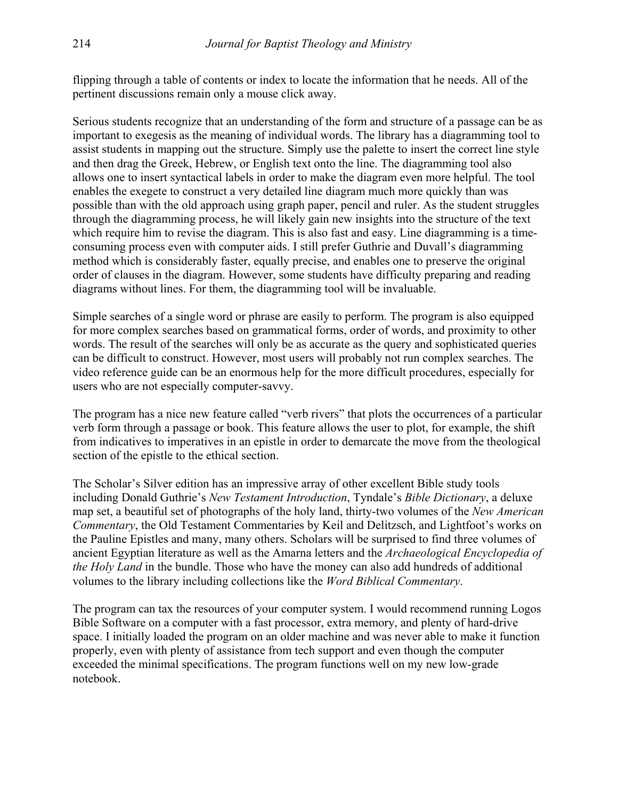flipping through a table of contents or index to locate the information that he needs. All of the pertinent discussions remain only a mouse click away.

Serious students recognize that an understanding of the form and structure of a passage can be as important to exegesis as the meaning of individual words. The library has a diagramming tool to assist students in mapping out the structure. Simply use the palette to insert the correct line style and then drag the Greek, Hebrew, or English text onto the line. The diagramming tool also allows one to insert syntactical labels in order to make the diagram even more helpful. The tool enables the exegete to construct a very detailed line diagram much more quickly than was possible than with the old approach using graph paper, pencil and ruler. As the student struggles through the diagramming process, he will likely gain new insights into the structure of the text which require him to revise the diagram. This is also fast and easy. Line diagramming is a timeconsuming process even with computer aids. I still prefer Guthrie and Duvall's diagramming method which is considerably faster, equally precise, and enables one to preserve the original order of clauses in the diagram. However, some students have difficulty preparing and reading diagrams without lines. For them, the diagramming tool will be invaluable.

Simple searches of a single word or phrase are easily to perform. The program is also equipped for more complex searches based on grammatical forms, order of words, and proximity to other words. The result of the searches will only be as accurate as the query and sophisticated queries can be difficult to construct. However, most users will probably not run complex searches. The video reference guide can be an enormous help for the more difficult procedures, especially for users who are not especially computer-savvy.

The program has a nice new feature called "verb rivers" that plots the occurrences of a particular verb form through a passage or book. This feature allows the user to plot, for example, the shift from indicatives to imperatives in an epistle in order to demarcate the move from the theological section of the epistle to the ethical section.

The Scholar's Silver edition has an impressive array of other excellent Bible study tools including Donald Guthrie's *New Testament Introduction*, Tyndale's *Bible Dictionary*, a deluxe map set, a beautiful set of photographs of the holy land, thirty-two volumes of the *New American Commentary*, the Old Testament Commentaries by Keil and Delitzsch, and Lightfoot's works on the Pauline Epistles and many, many others. Scholars will be surprised to find three volumes of ancient Egyptian literature as well as the Amarna letters and the *Archaeological Encyclopedia of the Holy Land* in the bundle. Those who have the money can also add hundreds of additional volumes to the library including collections like the *Word Biblical Commentary*.

The program can tax the resources of your computer system. I would recommend running Logos Bible Software on a computer with a fast processor, extra memory, and plenty of hard-drive space. I initially loaded the program on an older machine and was never able to make it function properly, even with plenty of assistance from tech support and even though the computer exceeded the minimal specifications. The program functions well on my new low-grade notebook.